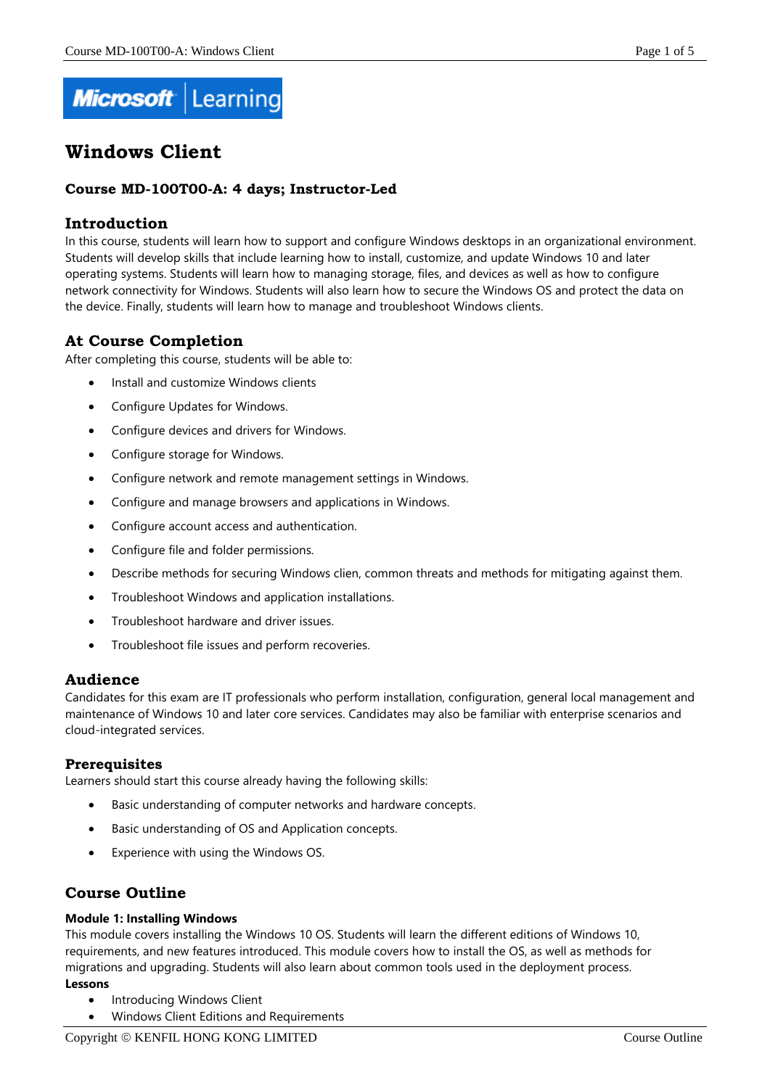

# **Windows Client**

# **Course MD-100T00-A: 4 days; Instructor-Led**

# **Introduction**

In this course, students will learn how to support and configure Windows desktops in an organizational environment. Students will develop skills that include learning how to install, customize, and update Windows 10 and later operating systems. Students will learn how to managing storage, files, and devices as well as how to configure network connectivity for Windows. Students will also learn how to secure the Windows OS and protect the data on the device. Finally, students will learn how to manage and troubleshoot Windows clients.

# **At Course Completion**

After completing this course, students will be able to:

- Install and customize Windows clients
- Configure Updates for Windows.
- Configure devices and drivers for Windows.
- Configure storage for Windows.
- Configure network and remote management settings in Windows.
- Configure and manage browsers and applications in Windows.
- Configure account access and authentication.
- Configure file and folder permissions.
- Describe methods for securing Windows clien, common threats and methods for mitigating against them.
- Troubleshoot Windows and application installations.
- Troubleshoot hardware and driver issues.
- Troubleshoot file issues and perform recoveries.

# **Audience**

Candidates for this exam are IT professionals who perform installation, configuration, general local management and maintenance of Windows 10 and later core services. Candidates may also be familiar with enterprise scenarios and cloud-integrated services.

# **Prerequisites**

Learners should start this course already having the following skills:

- Basic understanding of computer networks and hardware concepts.
- Basic understanding of OS and Application concepts.
- Experience with using the Windows OS.

# **Course Outline**

#### **Module 1: Installing Windows**

This module covers installing the Windows 10 OS. Students will learn the different editions of Windows 10, requirements, and new features introduced. This module covers how to install the OS, as well as methods for migrations and upgrading. Students will also learn about common tools used in the deployment process. **Lessons**

- Introducing Windows Client
- Windows Client Editions and Requirements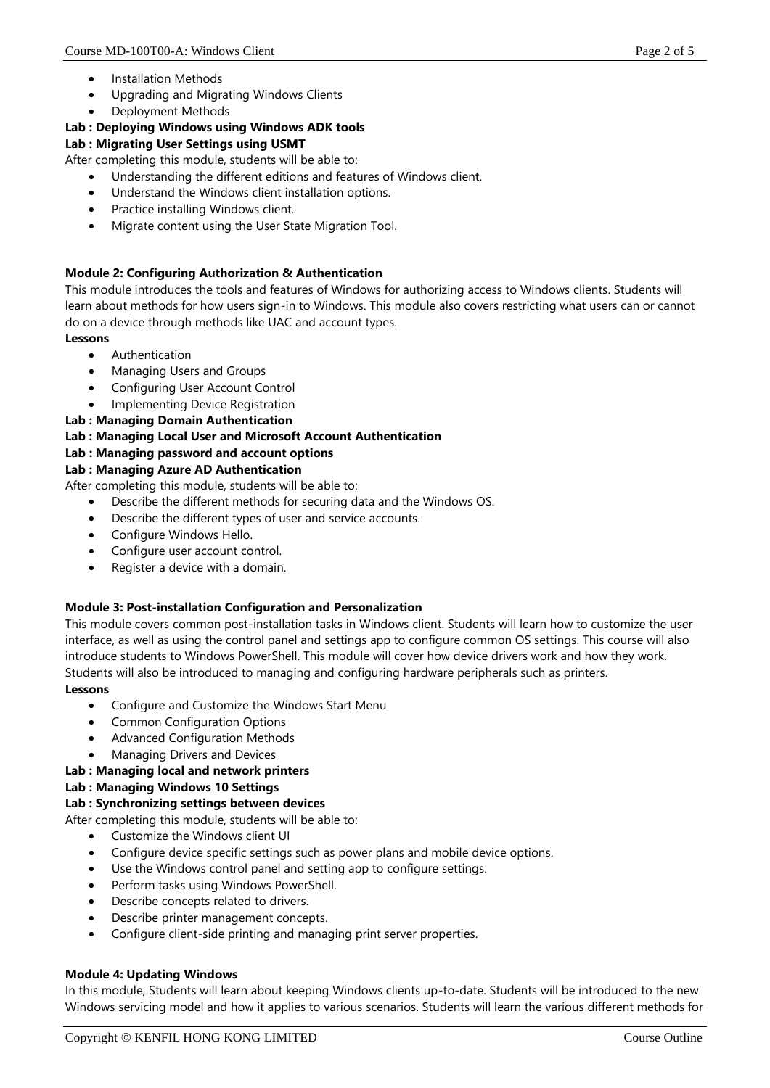- Installation Methods
- Upgrading and Migrating Windows Clients
- Deployment Methods

# **Lab : Deploying Windows using Windows ADK tools**

# **Lab : Migrating User Settings using USMT**

After completing this module, students will be able to:

- Understanding the different editions and features of Windows client.
- Understand the Windows client installation options.
- Practice installing Windows client.
- Migrate content using the User State Migration Tool.

# **Module 2: Configuring Authorization & Authentication**

This module introduces the tools and features of Windows for authorizing access to Windows clients. Students will learn about methods for how users sign-in to Windows. This module also covers restricting what users can or cannot do on a device through methods like UAC and account types.

#### **Lessons**

- **Authentication**
- Managing Users and Groups
- Configuring User Account Control
- Implementing Device Registration
- **Lab : Managing Domain Authentication**

# **Lab : Managing Local User and Microsoft Account Authentication**

**Lab : Managing password and account options**

# **Lab : Managing Azure AD Authentication**

After completing this module, students will be able to:

- Describe the different methods for securing data and the Windows OS.
- Describe the different types of user and service accounts.
- Configure Windows Hello.
- Configure user account control.
- Register a device with a domain.

# **Module 3: Post-installation Configuration and Personalization**

This module covers common post-installation tasks in Windows client. Students will learn how to customize the user interface, as well as using the control panel and settings app to configure common OS settings. This course will also introduce students to Windows PowerShell. This module will cover how device drivers work and how they work. Students will also be introduced to managing and configuring hardware peripherals such as printers.

# **Lessons**

- Configure and Customize the Windows Start Menu
- Common Configuration Options
- Advanced Configuration Methods
- Managing Drivers and Devices

# **Lab : Managing local and network printers**

# **Lab : Managing Windows 10 Settings**

# **Lab : Synchronizing settings between devices**

After completing this module, students will be able to:

- Customize the Windows client UI
- Configure device specific settings such as power plans and mobile device options.
- Use the Windows control panel and setting app to configure settings.
- Perform tasks using Windows PowerShell.
- Describe concepts related to drivers.
- Describe printer management concepts.
- Configure client-side printing and managing print server properties.

# **Module 4: Updating Windows**

In this module, Students will learn about keeping Windows clients up-to-date. Students will be introduced to the new Windows servicing model and how it applies to various scenarios. Students will learn the various different methods for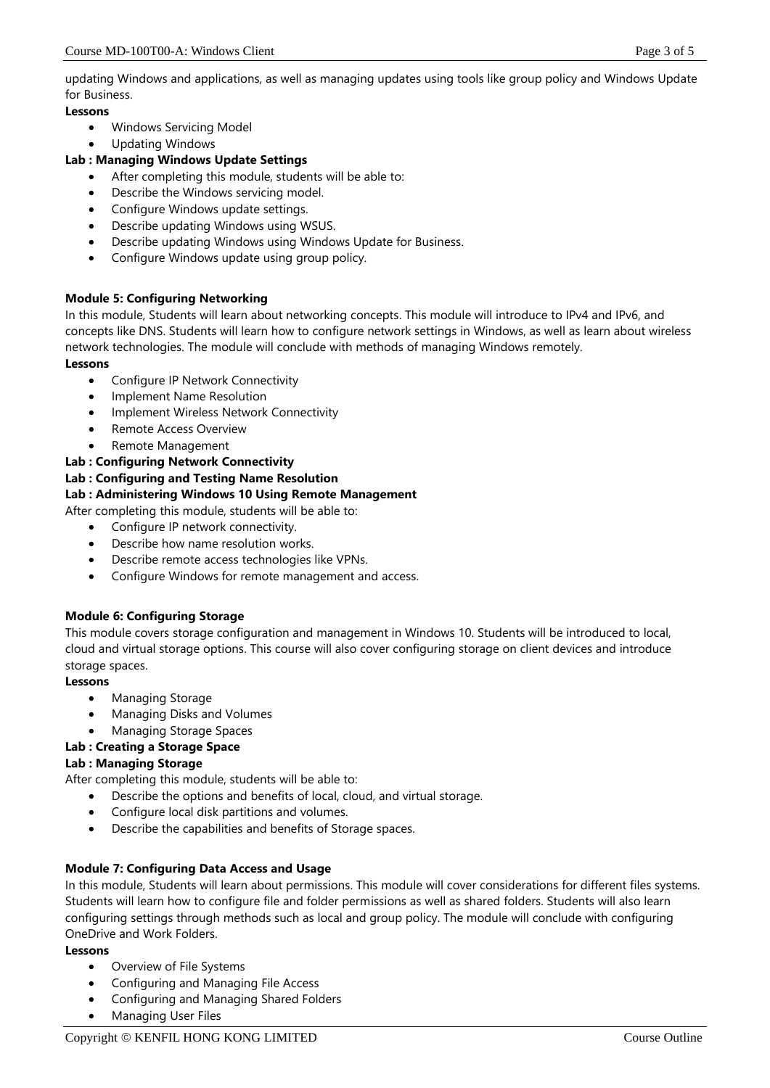updating Windows and applications, as well as managing updates using tools like group policy and Windows Update for Business.

# **Lessons**

- Windows Servicing Model
- Updating Windows

# **Lab : Managing Windows Update Settings**

- After completing this module, students will be able to:
- Describe the Windows servicing model.
- Configure Windows update settings.
- Describe updating Windows using WSUS.
- Describe updating Windows using Windows Update for Business.
- Configure Windows update using group policy.

# **Module 5: Configuring Networking**

In this module, Students will learn about networking concepts. This module will introduce to IPv4 and IPv6, and concepts like DNS. Students will learn how to configure network settings in Windows, as well as learn about wireless network technologies. The module will conclude with methods of managing Windows remotely. **Lessons**

- Configure IP Network Connectivity
- Implement Name Resolution
- Implement Wireless Network Connectivity
- Remote Access Overview
- Remote Management

# **Lab : Configuring Network Connectivity**

# **Lab : Configuring and Testing Name Resolution**

# **Lab : Administering Windows 10 Using Remote Management**

After completing this module, students will be able to:

- Configure IP network connectivity.
- Describe how name resolution works.
- Describe remote access technologies like VPNs.
- Configure Windows for remote management and access.

# **Module 6: Configuring Storage**

This module covers storage configuration and management in Windows 10. Students will be introduced to local, cloud and virtual storage options. This course will also cover configuring storage on client devices and introduce storage spaces.

# **Lessons**

- Managing Storage
- Managing Disks and Volumes

# • Managing Storage Spaces

# **Lab : Creating a Storage Space**

# **Lab : Managing Storage**

After completing this module, students will be able to:

- Describe the options and benefits of local, cloud, and virtual storage.
- Configure local disk partitions and volumes.
- Describe the capabilities and benefits of Storage spaces.

# **Module 7: Configuring Data Access and Usage**

In this module, Students will learn about permissions. This module will cover considerations for different files systems. Students will learn how to configure file and folder permissions as well as shared folders. Students will also learn configuring settings through methods such as local and group policy. The module will conclude with configuring OneDrive and Work Folders.

# **Lessons**

- Overview of File Systems
- Configuring and Managing File Access
- Configuring and Managing Shared Folders
- Managing User Files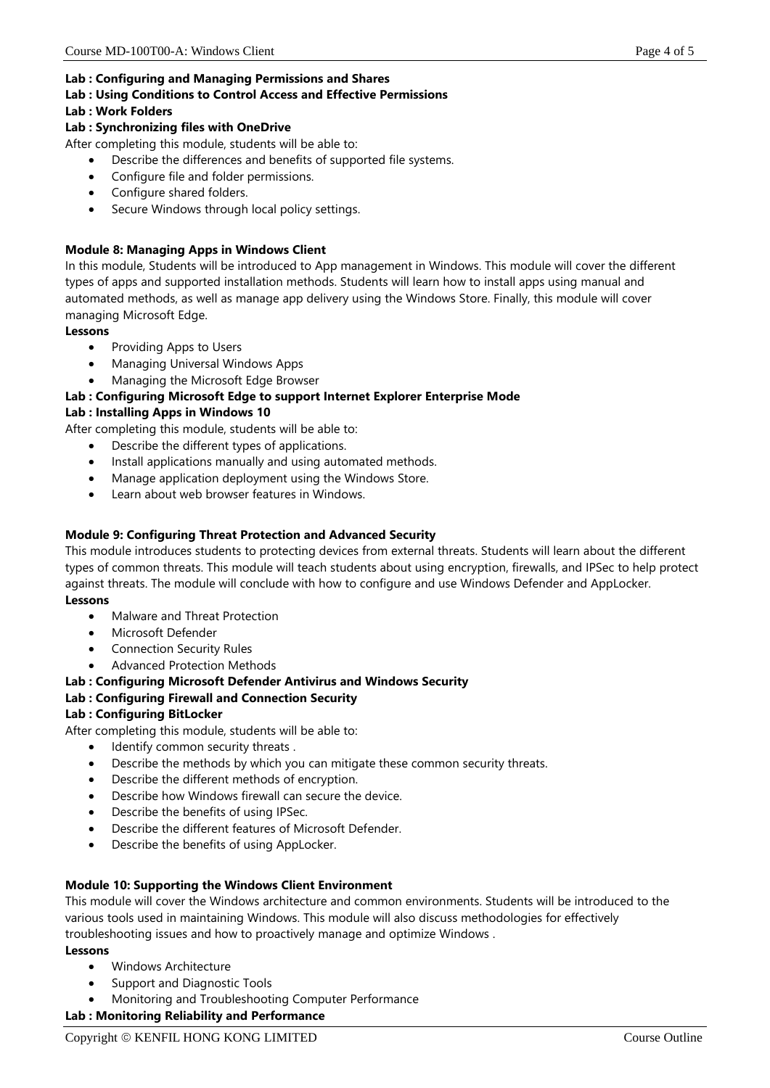#### **Lab : Configuring and Managing Permissions and Shares**

#### **Lab : Using Conditions to Control Access and Effective Permissions**

#### **Lab : Work Folders**

# **Lab : Synchronizing files with OneDrive**

After completing this module, students will be able to:

- Describe the differences and benefits of supported file systems.
- Configure file and folder permissions.
- Configure shared folders.
- Secure Windows through local policy settings.

# **Module 8: Managing Apps in Windows Client**

In this module, Students will be introduced to App management in Windows. This module will cover the different types of apps and supported installation methods. Students will learn how to install apps using manual and automated methods, as well as manage app delivery using the Windows Store. Finally, this module will cover managing Microsoft Edge.

#### **Lessons**

- Providing Apps to Users
- Managing Universal Windows Apps
- Managing the Microsoft Edge Browser

# **Lab : Configuring Microsoft Edge to support Internet Explorer Enterprise Mode**

# **Lab : Installing Apps in Windows 10**

After completing this module, students will be able to:

- Describe the different types of applications.
- Install applications manually and using automated methods.
- Manage application deployment using the Windows Store.
- Learn about web browser features in Windows.

# **Module 9: Configuring Threat Protection and Advanced Security**

This module introduces students to protecting devices from external threats. Students will learn about the different types of common threats. This module will teach students about using encryption, firewalls, and IPSec to help protect against threats. The module will conclude with how to configure and use Windows Defender and AppLocker. **Lessons**

- Malware and Threat Protection
- Microsoft Defender
- Connection Security Rules
- Advanced Protection Methods

# **Lab : Configuring Microsoft Defender Antivirus and Windows Security**

# **Lab : Configuring Firewall and Connection Security**

# **Lab : Configuring BitLocker**

After completing this module, students will be able to:

- Identify common security threats.
- Describe the methods by which you can mitigate these common security threats.
- Describe the different methods of encryption.
- Describe how Windows firewall can secure the device.
- Describe the benefits of using IPSec.
- Describe the different features of Microsoft Defender.
- Describe the benefits of using AppLocker.

# **Module 10: Supporting the Windows Client Environment**

This module will cover the Windows architecture and common environments. Students will be introduced to the various tools used in maintaining Windows. This module will also discuss methodologies for effectively troubleshooting issues and how to proactively manage and optimize Windows .

# **Lessons**

- Windows Architecture
- Support and Diagnostic Tools
- Monitoring and Troubleshooting Computer Performance

# **Lab : Monitoring Reliability and Performance**